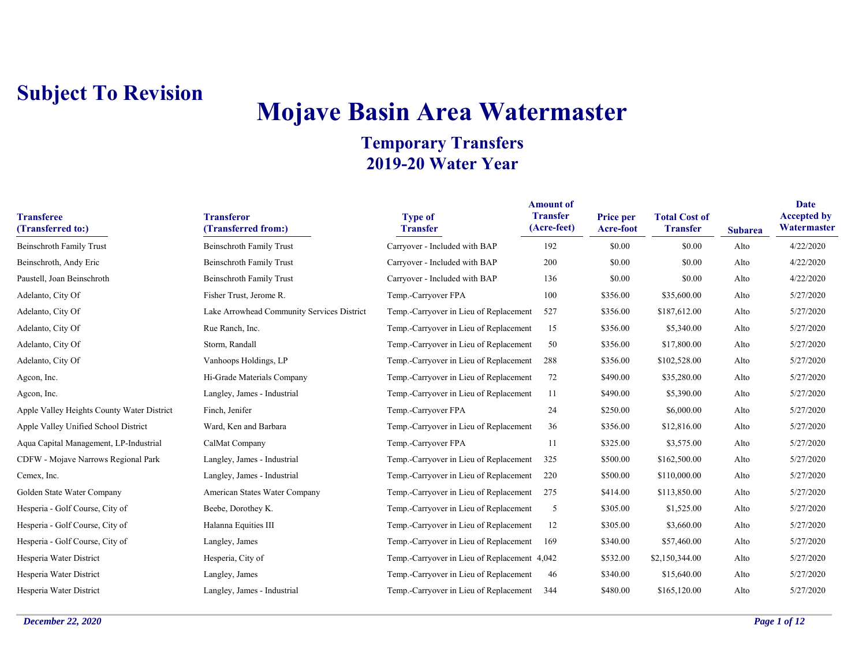# **Mojave Basin Area Watermaster**

| <b>Transferee</b><br>(Transferred to:)     | <b>Transferor</b><br>(Transferred from:)   | <b>Type of</b><br><b>Transfer</b>            | <b>Amount</b> of<br><b>Transfer</b><br>(Acre-feet) | Price per<br>Acre-foot | <b>Total Cost of</b><br><b>Transfer</b> | <b>Subarea</b> | Date<br><b>Accepted by</b><br>Watermaster |
|--------------------------------------------|--------------------------------------------|----------------------------------------------|----------------------------------------------------|------------------------|-----------------------------------------|----------------|-------------------------------------------|
| <b>Beinschroth Family Trust</b>            | <b>Beinschroth Family Trust</b>            | Carryover - Included with BAP                | 192                                                | \$0.00                 | \$0.00                                  | Alto           | 4/22/2020                                 |
| Beinschroth, Andy Eric                     | <b>Beinschroth Family Trust</b>            | Carryover - Included with BAP                | 200                                                | \$0.00                 | \$0.00                                  | Alto           | 4/22/2020                                 |
| Paustell, Joan Beinschroth                 | <b>Beinschroth Family Trust</b>            | Carryover - Included with BAP                | 136                                                | \$0.00                 | \$0.00                                  | Alto           | 4/22/2020                                 |
| Adelanto, City Of                          | Fisher Trust, Jerome R.                    | Temp.-Carryover FPA                          | 100                                                | \$356.00               | \$35,600.00                             | Alto           | 5/27/2020                                 |
| Adelanto, City Of                          | Lake Arrowhead Community Services District | Temp.-Carryover in Lieu of Replacement       | 527                                                | \$356.00               | \$187,612.00                            | Alto           | 5/27/2020                                 |
| Adelanto, City Of                          | Rue Ranch, Inc.                            | Temp.-Carryover in Lieu of Replacement       | 15                                                 | \$356.00               | \$5,340.00                              | Alto           | 5/27/2020                                 |
| Adelanto, City Of                          | Storm, Randall                             | Temp.-Carryover in Lieu of Replacement       | 50                                                 | \$356.00               | \$17,800.00                             | Alto           | 5/27/2020                                 |
| Adelanto, City Of                          | Vanhoops Holdings, LP                      | Temp.-Carryover in Lieu of Replacement       | 288                                                | \$356.00               | \$102,528.00                            | Alto           | 5/27/2020                                 |
| Agcon, Inc.                                | Hi-Grade Materials Company                 | Temp.-Carryover in Lieu of Replacement       | 72                                                 | \$490.00               | \$35,280.00                             | Alto           | 5/27/2020                                 |
| Agcon, Inc.                                | Langley, James - Industrial                | Temp.-Carryover in Lieu of Replacement       | 11                                                 | \$490.00               | \$5,390.00                              | Alto           | 5/27/2020                                 |
| Apple Valley Heights County Water District | Finch, Jenifer                             | Temp.-Carryover FPA                          | 24                                                 | \$250.00               | \$6,000.00                              | Alto           | 5/27/2020                                 |
| Apple Valley Unified School District       | Ward, Ken and Barbara                      | Temp.-Carryover in Lieu of Replacement       | 36                                                 | \$356.00               | \$12,816.00                             | Alto           | 5/27/2020                                 |
| Aqua Capital Management, LP-Industrial     | CalMat Company                             | Temp.-Carryover FPA                          | 11                                                 | \$325.00               | \$3,575.00                              | Alto           | 5/27/2020                                 |
| CDFW - Mojave Narrows Regional Park        | Langley, James - Industrial                | Temp.-Carryover in Lieu of Replacement       | 325                                                | \$500.00               | \$162,500.00                            | Alto           | 5/27/2020                                 |
| Cemex, Inc.                                | Langley, James - Industrial                | Temp.-Carryover in Lieu of Replacement       | 220                                                | \$500.00               | \$110,000.00                            | Alto           | 5/27/2020                                 |
| Golden State Water Company                 | American States Water Company              | Temp.-Carryover in Lieu of Replacement       | 275                                                | \$414.00               | \$113,850.00                            | Alto           | 5/27/2020                                 |
| Hesperia - Golf Course, City of            | Beebe, Dorothey K.                         | Temp.-Carryover in Lieu of Replacement       | 5                                                  | \$305.00               | \$1,525.00                              | Alto           | 5/27/2020                                 |
| Hesperia - Golf Course, City of            | Halanna Equities III                       | Temp.-Carryover in Lieu of Replacement       | 12                                                 | \$305.00               | \$3,660.00                              | Alto           | 5/27/2020                                 |
| Hesperia - Golf Course, City of            | Langley, James                             | Temp.-Carryover in Lieu of Replacement       | 169                                                | \$340.00               | \$57,460.00                             | Alto           | 5/27/2020                                 |
| Hesperia Water District                    | Hesperia, City of                          | Temp.-Carryover in Lieu of Replacement 4,042 |                                                    | \$532.00               | \$2,150,344.00                          | Alto           | 5/27/2020                                 |
| Hesperia Water District                    | Langley, James                             | Temp.-Carryover in Lieu of Replacement       | 46                                                 | \$340.00               | \$15,640.00                             | Alto           | 5/27/2020                                 |
| Hesperia Water District                    | Langley, James - Industrial                | Temp.-Carryover in Lieu of Replacement       | 344                                                | \$480.00               | \$165,120.00                            | Alto           | 5/27/2020                                 |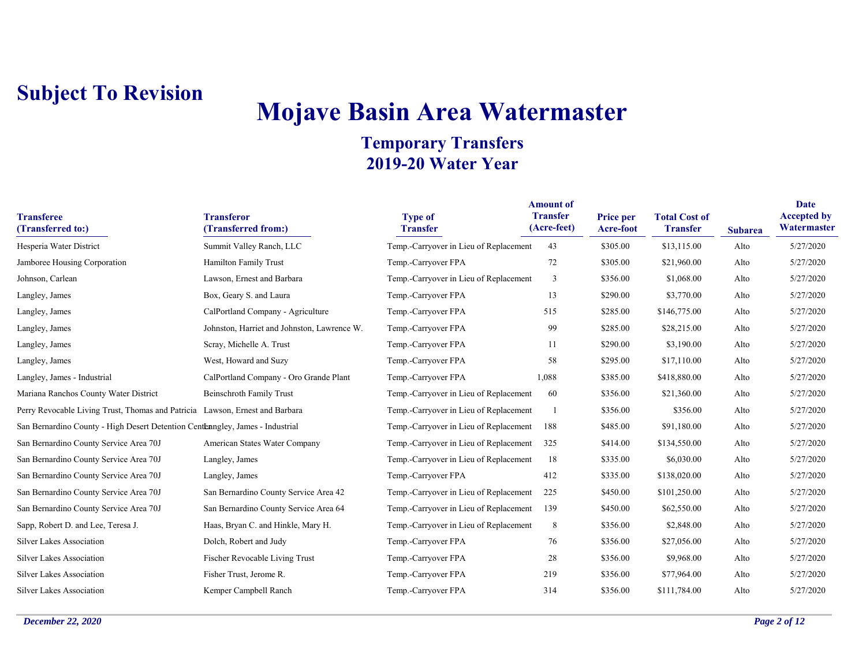# **Mojave Basin Area Watermaster**

| <b>Transferee</b><br>(Transferred to:)                                        | <b>Transferor</b><br>(Transferred from:)    | <b>Type of</b><br><b>Transfer</b>      | <b>Amount of</b><br><b>Transfer</b><br>(Acre-feet) | Price per<br><b>Acre-foot</b> | <b>Total Cost of</b><br><b>Transfer</b> | <b>Subarea</b> | <b>Date</b><br><b>Accepted by</b><br>Watermaster |
|-------------------------------------------------------------------------------|---------------------------------------------|----------------------------------------|----------------------------------------------------|-------------------------------|-----------------------------------------|----------------|--------------------------------------------------|
| Hesperia Water District                                                       | Summit Valley Ranch, LLC                    | Temp.-Carryover in Lieu of Replacement | 43                                                 | \$305.00                      | \$13,115.00                             | Alto           | 5/27/2020                                        |
| Jamboree Housing Corporation                                                  | Hamilton Family Trust                       | Temp.-Carryover FPA                    | 72                                                 | \$305.00                      | \$21,960.00                             | Alto           | 5/27/2020                                        |
| Johnson, Carlean                                                              | Lawson, Ernest and Barbara                  | Temp.-Carryover in Lieu of Replacement | 3                                                  | \$356.00                      | \$1,068.00                              | Alto           | 5/27/2020                                        |
| Langley, James                                                                | Box, Geary S. and Laura                     | Temp.-Carryover FPA                    | 13                                                 | \$290.00                      | \$3,770.00                              | Alto           | 5/27/2020                                        |
| Langley, James                                                                | CalPortland Company - Agriculture           | Temp.-Carryover FPA                    | 515                                                | \$285.00                      | \$146,775.00                            | Alto           | 5/27/2020                                        |
| Langley, James                                                                | Johnston, Harriet and Johnston, Lawrence W. | Temp.-Carryover FPA                    | 99                                                 | \$285.00                      | \$28,215.00                             | Alto           | 5/27/2020                                        |
| Langley, James                                                                | Scray, Michelle A. Trust                    | Temp.-Carryover FPA                    | 11                                                 | \$290.00                      | \$3,190.00                              | Alto           | 5/27/2020                                        |
| Langley, James                                                                | West, Howard and Suzy                       | Temp.-Carryover FPA                    | 58                                                 | \$295.00                      | \$17,110.00                             | Alto           | 5/27/2020                                        |
| Langley, James - Industrial                                                   | CalPortland Company - Oro Grande Plant      | Temp.-Carryover FPA                    | 1,088                                              | \$385.00                      | \$418,880.00                            | Alto           | 5/27/2020                                        |
| Mariana Ranchos County Water District                                         | <b>Beinschroth Family Trust</b>             | Temp.-Carryover in Lieu of Replacement | 60                                                 | \$356.00                      | \$21,360.00                             | Alto           | 5/27/2020                                        |
| Perry Revocable Living Trust, Thomas and Patricia Lawson, Ernest and Barbara  |                                             | Temp.-Carryover in Lieu of Replacement |                                                    | \$356.00                      | \$356.00                                | Alto           | 5/27/2020                                        |
| San Bernardino County - High Desert Detention Centenngley, James - Industrial |                                             | Temp.-Carryover in Lieu of Replacement | 188                                                | \$485.00                      | \$91,180.00                             | Alto           | 5/27/2020                                        |
| San Bernardino County Service Area 70J                                        | American States Water Company               | Temp.-Carryover in Lieu of Replacement | 325                                                | \$414.00                      | \$134,550.00                            | Alto           | 5/27/2020                                        |
| San Bernardino County Service Area 70J                                        | Langley, James                              | Temp.-Carryover in Lieu of Replacement | 18                                                 | \$335.00                      | \$6,030.00                              | Alto           | 5/27/2020                                        |
| San Bernardino County Service Area 70J                                        | Langley, James                              | Temp.-Carryover FPA                    | 412                                                | \$335.00                      | \$138,020.00                            | Alto           | 5/27/2020                                        |
| San Bernardino County Service Area 70J                                        | San Bernardino County Service Area 42       | Temp.-Carryover in Lieu of Replacement | 225                                                | \$450.00                      | \$101,250.00                            | Alto           | 5/27/2020                                        |
| San Bernardino County Service Area 70J                                        | San Bernardino County Service Area 64       | Temp.-Carryover in Lieu of Replacement | 139                                                | \$450.00                      | \$62,550.00                             | Alto           | 5/27/2020                                        |
| Sapp, Robert D. and Lee, Teresa J.                                            | Haas, Bryan C. and Hinkle, Mary H.          | Temp.-Carryover in Lieu of Replacement | 8                                                  | \$356.00                      | \$2,848.00                              | Alto           | 5/27/2020                                        |
| <b>Silver Lakes Association</b>                                               | Dolch, Robert and Judy                      | Temp.-Carryover FPA                    | 76                                                 | \$356.00                      | \$27,056.00                             | Alto           | 5/27/2020                                        |
| Silver Lakes Association                                                      | Fischer Revocable Living Trust              | Temp.-Carryover FPA                    | 28                                                 | \$356.00                      | \$9,968.00                              | Alto           | 5/27/2020                                        |
| Silver Lakes Association                                                      | Fisher Trust, Jerome R.                     | Temp.-Carryover FPA                    | 219                                                | \$356.00                      | \$77,964.00                             | Alto           | 5/27/2020                                        |
| <b>Silver Lakes Association</b>                                               | Kemper Campbell Ranch                       | Temp.-Carryover FPA                    | 314                                                | \$356.00                      | \$111,784.00                            | Alto           | 5/27/2020                                        |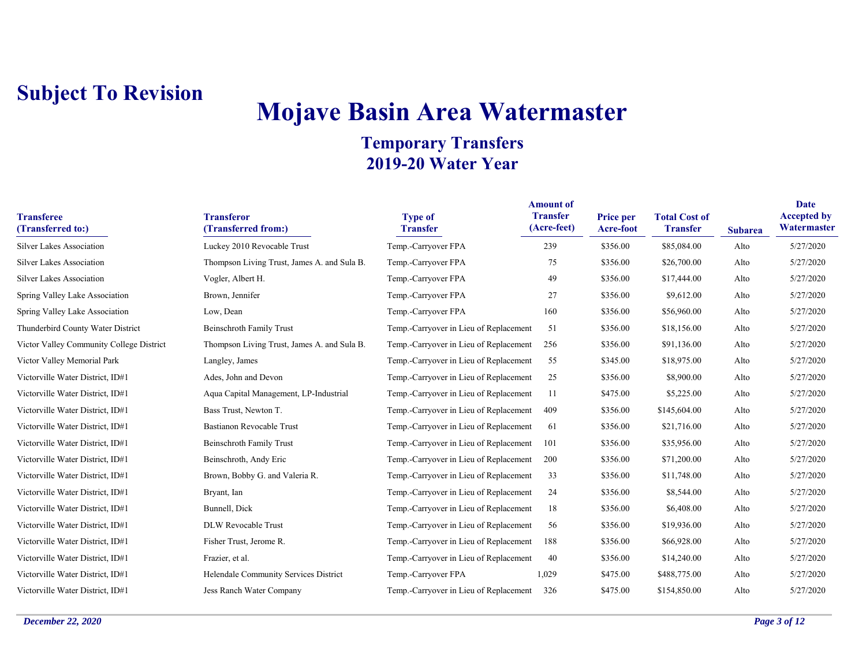# **Mojave Basin Area Watermaster**

| <b>Transferee</b><br>(Transferred to:)   | <b>Transferor</b><br>(Transferred from:)    | <b>Type of</b><br><b>Transfer</b>      | <b>Amount of</b><br><b>Transfer</b><br>(Acre-feet) | Price per<br>Acre-foot | <b>Total Cost of</b><br><b>Transfer</b> | <b>Subarea</b> | <b>Date</b><br><b>Accepted by</b><br>Watermaster |
|------------------------------------------|---------------------------------------------|----------------------------------------|----------------------------------------------------|------------------------|-----------------------------------------|----------------|--------------------------------------------------|
| <b>Silver Lakes Association</b>          | Luckey 2010 Revocable Trust                 | Temp.-Carryover FPA                    | 239                                                | \$356.00               | \$85,084.00                             | Alto           | 5/27/2020                                        |
| <b>Silver Lakes Association</b>          | Thompson Living Trust, James A. and Sula B. | Temp.-Carryover FPA                    | 75                                                 | \$356.00               | \$26,700.00                             | Alto           | 5/27/2020                                        |
| <b>Silver Lakes Association</b>          | Vogler, Albert H.                           | Temp.-Carryover FPA                    | 49                                                 | \$356.00               | \$17,444.00                             | Alto           | 5/27/2020                                        |
| Spring Valley Lake Association           | Brown, Jennifer                             | Temp.-Carryover FPA                    | 27                                                 | \$356.00               | \$9,612.00                              | Alto           | 5/27/2020                                        |
| Spring Valley Lake Association           | Low, Dean                                   | Temp.-Carryover FPA                    | 160                                                | \$356.00               | \$56,960.00                             | Alto           | 5/27/2020                                        |
| Thunderbird County Water District        | Beinschroth Family Trust                    | Temp.-Carryover in Lieu of Replacement | 51                                                 | \$356.00               | \$18,156.00                             | Alto           | 5/27/2020                                        |
| Victor Valley Community College District | Thompson Living Trust, James A. and Sula B. | Temp.-Carryover in Lieu of Replacement | 256                                                | \$356.00               | \$91,136.00                             | Alto           | 5/27/2020                                        |
| Victor Valley Memorial Park              | Langley, James                              | Temp.-Carryover in Lieu of Replacement | 55                                                 | \$345.00               | \$18,975.00                             | Alto           | 5/27/2020                                        |
| Victorville Water District, ID#1         | Ades, John and Devon                        | Temp.-Carryover in Lieu of Replacement | 25                                                 | \$356.00               | \$8,900.00                              | Alto           | 5/27/2020                                        |
| Victorville Water District, ID#1         | Aqua Capital Management, LP-Industrial      | Temp.-Carryover in Lieu of Replacement | 11                                                 | \$475.00               | \$5,225.00                              | Alto           | 5/27/2020                                        |
| Victorville Water District, ID#1         | Bass Trust, Newton T.                       | Temp.-Carryover in Lieu of Replacement | 409                                                | \$356.00               | \$145,604.00                            | Alto           | 5/27/2020                                        |
| Victorville Water District, ID#1         | Bastianon Revocable Trust                   | Temp.-Carryover in Lieu of Replacement | 61                                                 | \$356.00               | \$21,716.00                             | Alto           | 5/27/2020                                        |
| Victorville Water District, ID#1         | <b>Beinschroth Family Trust</b>             | Temp.-Carryover in Lieu of Replacement | 101                                                | \$356.00               | \$35,956.00                             | Alto           | 5/27/2020                                        |
| Victorville Water District, ID#1         | Beinschroth, Andy Eric                      | Temp.-Carryover in Lieu of Replacement | 200                                                | \$356.00               | \$71,200.00                             | Alto           | 5/27/2020                                        |
| Victorville Water District, ID#1         | Brown, Bobby G. and Valeria R.              | Temp.-Carryover in Lieu of Replacement | 33                                                 | \$356.00               | \$11,748.00                             | Alto           | 5/27/2020                                        |
| Victorville Water District, ID#1         | Bryant, Ian                                 | Temp.-Carryover in Lieu of Replacement | 24                                                 | \$356.00               | \$8,544.00                              | Alto           | 5/27/2020                                        |
| Victorville Water District, ID#1         | Bunnell, Dick                               | Temp.-Carryover in Lieu of Replacement | 18                                                 | \$356.00               | \$6,408.00                              | Alto           | 5/27/2020                                        |
| Victorville Water District, ID#1         | DLW Revocable Trust                         | Temp.-Carryover in Lieu of Replacement | 56                                                 | \$356.00               | \$19,936.00                             | Alto           | 5/27/2020                                        |
| Victorville Water District, ID#1         | Fisher Trust, Jerome R.                     | Temp.-Carryover in Lieu of Replacement | 188                                                | \$356.00               | \$66,928.00                             | Alto           | 5/27/2020                                        |
| Victorville Water District, ID#1         | Frazier, et al.                             | Temp.-Carryover in Lieu of Replacement | 40                                                 | \$356.00               | \$14,240.00                             | Alto           | 5/27/2020                                        |
| Victorville Water District, ID#1         | Helendale Community Services District       | Temp.-Carryover FPA                    | 1,029                                              | \$475.00               | \$488,775.00                            | Alto           | 5/27/2020                                        |
| Victorville Water District, ID#1         | Jess Ranch Water Company                    | Temp.-Carryover in Lieu of Replacement | 326                                                | \$475.00               | \$154,850.00                            | Alto           | 5/27/2020                                        |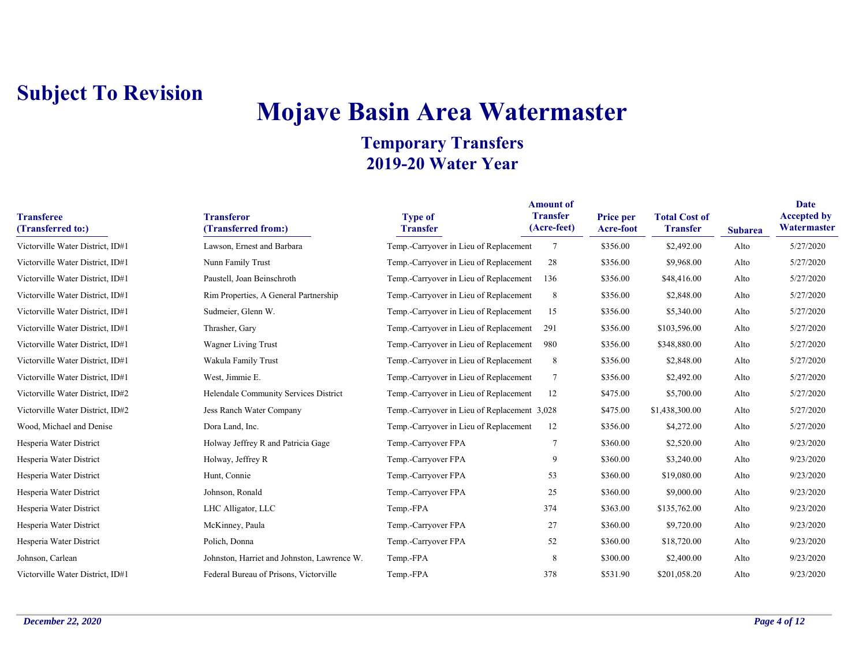# **Mojave Basin Area Watermaster**

|                                        | <b>Amount of</b>                            |                                              |                                |                               |                                         |                |                                   |  |
|----------------------------------------|---------------------------------------------|----------------------------------------------|--------------------------------|-------------------------------|-----------------------------------------|----------------|-----------------------------------|--|
| <b>Transferee</b><br>(Transferred to:) | <b>Transferor</b><br>(Transferred from:)    | <b>Type of</b><br><b>Transfer</b>            | <b>Transfer</b><br>(Acre-feet) | Price per<br><b>Acre-foot</b> | <b>Total Cost of</b><br><b>Transfer</b> | <b>Subarea</b> | <b>Accepted by</b><br>Watermaster |  |
| Victorville Water District, ID#1       | Lawson, Ernest and Barbara                  | Temp.-Carryover in Lieu of Replacement       | $\overline{7}$                 | \$356.00                      | \$2,492.00                              | Alto           | 5/27/2020                         |  |
| Victorville Water District, ID#1       | Nunn Family Trust                           | Temp.-Carryover in Lieu of Replacement       | 28                             | \$356.00                      | \$9,968.00                              | Alto           | 5/27/2020                         |  |
| Victorville Water District, ID#1       | Paustell, Joan Beinschroth                  | Temp.-Carryover in Lieu of Replacement       | 136                            | \$356.00                      | \$48,416.00                             | Alto           | 5/27/2020                         |  |
| Victorville Water District, ID#1       | Rim Properties, A General Partnership       | Temp.-Carryover in Lieu of Replacement       | 8                              | \$356.00                      | \$2,848.00                              | Alto           | 5/27/2020                         |  |
| Victorville Water District, ID#1       | Sudmeier, Glenn W.                          | Temp.-Carryover in Lieu of Replacement       | 15                             | \$356.00                      | \$5,340.00                              | Alto           | 5/27/2020                         |  |
| Victorville Water District, ID#1       | Thrasher, Gary                              | Temp.-Carryover in Lieu of Replacement       | 291                            | \$356.00                      | \$103,596.00                            | Alto           | 5/27/2020                         |  |
| Victorville Water District, ID#1       | Wagner Living Trust                         | Temp.-Carryover in Lieu of Replacement       | 980                            | \$356.00                      | \$348,880.00                            | Alto           | 5/27/2020                         |  |
| Victorville Water District, ID#1       | Wakula Family Trust                         | Temp.-Carryover in Lieu of Replacement       | 8                              | \$356.00                      | \$2,848.00                              | Alto           | 5/27/2020                         |  |
| Victorville Water District, ID#1       | West, Jimmie E.                             | Temp.-Carryover in Lieu of Replacement       | $\tau$                         | \$356.00                      | \$2,492.00                              | Alto           | 5/27/2020                         |  |
| Victorville Water District, ID#2       | Helendale Community Services District       | Temp.-Carryover in Lieu of Replacement       | 12                             | \$475.00                      | \$5,700.00                              | Alto           | 5/27/2020                         |  |
| Victorville Water District, ID#2       | Jess Ranch Water Company                    | Temp.-Carryover in Lieu of Replacement 3,028 |                                | \$475.00                      | \$1,438,300.00                          | Alto           | 5/27/2020                         |  |
| Wood, Michael and Denise               | Dora Land, Inc.                             | Temp.-Carryover in Lieu of Replacement       | 12                             | \$356.00                      | \$4,272.00                              | Alto           | 5/27/2020                         |  |
| Hesperia Water District                | Holway Jeffrey R and Patricia Gage          | Temp.-Carryover FPA                          | $\overline{7}$                 | \$360.00                      | \$2,520.00                              | Alto           | 9/23/2020                         |  |
| Hesperia Water District                | Holway, Jeffrey R                           | Temp.-Carryover FPA                          | 9                              | \$360.00                      | \$3,240.00                              | Alto           | 9/23/2020                         |  |
| Hesperia Water District                | Hunt, Connie                                | Temp.-Carryover FPA                          | 53                             | \$360.00                      | \$19,080.00                             | Alto           | 9/23/2020                         |  |
| Hesperia Water District                | Johnson, Ronald                             | Temp.-Carryover FPA                          | 25                             | \$360.00                      | \$9,000.00                              | Alto           | 9/23/2020                         |  |
| Hesperia Water District                | LHC Alligator, LLC                          | Temp.-FPA                                    | 374                            | \$363.00                      | \$135,762.00                            | Alto           | 9/23/2020                         |  |
| Hesperia Water District                | McKinney, Paula                             | Temp.-Carryover FPA                          | 27                             | \$360.00                      | \$9,720.00                              | Alto           | 9/23/2020                         |  |
| Hesperia Water District                | Polich, Donna                               | Temp.-Carryover FPA                          | 52                             | \$360.00                      | \$18,720.00                             | Alto           | 9/23/2020                         |  |
| Johnson, Carlean                       | Johnston, Harriet and Johnston, Lawrence W. | Temp.-FPA                                    | 8                              | \$300.00                      | \$2,400.00                              | Alto           | 9/23/2020                         |  |
| Victorville Water District, ID#1       | Federal Bureau of Prisons, Victorville      | Temp.-FPA                                    | 378                            | \$531.90                      | \$201,058.20                            | Alto           | 9/23/2020                         |  |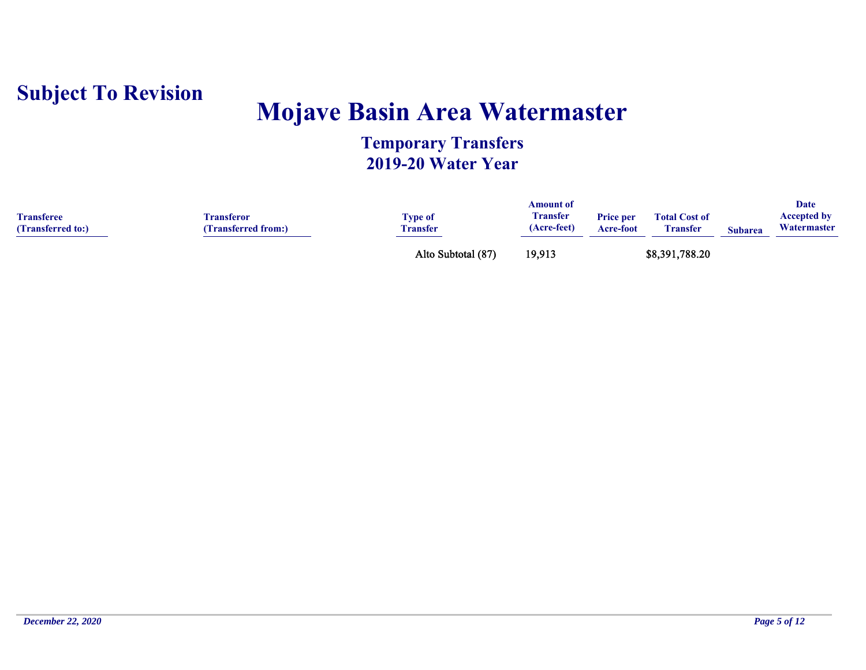

## **Mojave Basin Area Watermaster**

| <b>Transferee</b><br>(Transferred to:) | <b>Transferor</b><br>(Transferred from:) | <b>Type of</b><br><b>Transfer</b> | Amount of<br><b>Transfer</b><br>(Acre-feet) | <b>Price per</b><br>Acre-foot | <b>Total Cost of</b><br><b>Transfer</b> | <b>Subarea</b> | Date<br><b>Accepted by</b><br>Watermaster |
|----------------------------------------|------------------------------------------|-----------------------------------|---------------------------------------------|-------------------------------|-----------------------------------------|----------------|-------------------------------------------|
|                                        |                                          | Alto Subtotal (87)                | 19,913                                      |                               | \$8,391,788.20                          |                |                                           |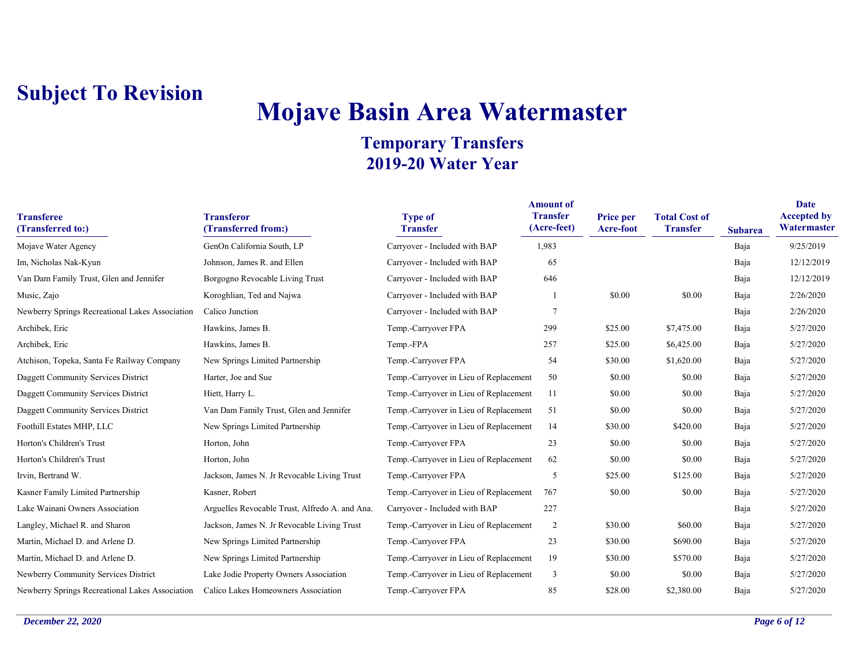# **Mojave Basin Area Watermaster**

| <b>Transferee</b><br>(Transferred to:)          | <b>Transferor</b><br>(Transferred from:)       | <b>Type of</b><br><b>Transfer</b>      | <b>Amount of</b><br><b>Transfer</b><br>(Acre-feet) | Price per<br>Acre-foot | <b>Total Cost of</b><br><b>Transfer</b> | <b>Subarea</b> | Date<br><b>Accepted by</b><br>Watermaster |
|-------------------------------------------------|------------------------------------------------|----------------------------------------|----------------------------------------------------|------------------------|-----------------------------------------|----------------|-------------------------------------------|
| Mojave Water Agency                             | GenOn California South, LP                     | Carryover - Included with BAP          | 1,983                                              |                        |                                         | Baja           | 9/25/2019                                 |
| Im, Nicholas Nak-Kyun                           | Johnson, James R. and Ellen                    | Carryover - Included with BAP          | 65                                                 |                        |                                         | Baja           | 12/12/2019                                |
| Van Dam Family Trust, Glen and Jennifer         | Borgogno Revocable Living Trust                | Carryover - Included with BAP          | 646                                                |                        |                                         | Baja           | 12/12/2019                                |
| Music, Zajo                                     | Koroghlian, Ted and Najwa                      | Carryover - Included with BAP          |                                                    | \$0.00                 | \$0.00                                  | Baja           | 2/26/2020                                 |
| Newberry Springs Recreational Lakes Association | Calico Junction                                | Carryover - Included with BAP          | $\overline{7}$                                     |                        |                                         | Baja           | 2/26/2020                                 |
| Archibek, Eric                                  | Hawkins, James B.                              | Temp.-Carryover FPA                    | 299                                                | \$25.00                | \$7,475.00                              | Baja           | 5/27/2020                                 |
| Archibek, Eric                                  | Hawkins, James B.                              | Temp.-FPA                              | 257                                                | \$25.00                | \$6,425.00                              | Baja           | 5/27/2020                                 |
| Atchison, Topeka, Santa Fe Railway Company      | New Springs Limited Partnership                | Temp.-Carryover FPA                    | 54                                                 | \$30.00                | \$1,620.00                              | Baja           | 5/27/2020                                 |
| Daggett Community Services District             | Harter, Joe and Sue                            | Temp.-Carryover in Lieu of Replacement | 50                                                 | \$0.00                 | \$0.00                                  | Baja           | 5/27/2020                                 |
| Daggett Community Services District             | Hiett, Harry L.                                | Temp.-Carryover in Lieu of Replacement | 11                                                 | \$0.00                 | \$0.00                                  | Baja           | 5/27/2020                                 |
| Daggett Community Services District             | Van Dam Family Trust, Glen and Jennifer        | Temp.-Carryover in Lieu of Replacement | 51                                                 | \$0.00                 | \$0.00                                  | Baja           | 5/27/2020                                 |
| Foothill Estates MHP, LLC                       | New Springs Limited Partnership                | Temp.-Carryover in Lieu of Replacement | 14                                                 | \$30.00                | \$420.00                                | Baja           | 5/27/2020                                 |
| Horton's Children's Trust                       | Horton, John                                   | Temp.-Carryover FPA                    | 23                                                 | \$0.00                 | \$0.00                                  | Baja           | 5/27/2020                                 |
| Horton's Children's Trust                       | Horton, John                                   | Temp.-Carryover in Lieu of Replacement | 62                                                 | \$0.00                 | \$0.00                                  | Baja           | 5/27/2020                                 |
| Irvin, Bertrand W.                              | Jackson, James N. Jr Revocable Living Trust    | Temp.-Carryover FPA                    | 5                                                  | \$25.00                | \$125.00                                | Baja           | 5/27/2020                                 |
| Kasner Family Limited Partnership               | Kasner, Robert                                 | Temp.-Carryover in Lieu of Replacement | 767                                                | \$0.00                 | \$0.00                                  | Baja           | 5/27/2020                                 |
| Lake Wainani Owners Association                 | Arguelles Revocable Trust, Alfredo A. and Ana. | Carryover - Included with BAP          | 227                                                |                        |                                         | Baja           | 5/27/2020                                 |
| Langley, Michael R. and Sharon                  | Jackson, James N. Jr Revocable Living Trust    | Temp.-Carryover in Lieu of Replacement | $\overline{2}$                                     | \$30.00                | \$60.00                                 | Baja           | 5/27/2020                                 |
| Martin, Michael D. and Arlene D.                | New Springs Limited Partnership                | Temp.-Carryover FPA                    | 23                                                 | \$30.00                | \$690.00                                | Baja           | 5/27/2020                                 |
| Martin, Michael D. and Arlene D.                | New Springs Limited Partnership                | Temp.-Carryover in Lieu of Replacement | 19                                                 | \$30.00                | \$570.00                                | Baja           | 5/27/2020                                 |
| Newberry Community Services District            | Lake Jodie Property Owners Association         | Temp.-Carryover in Lieu of Replacement | 3                                                  | \$0.00                 | \$0.00                                  | Baja           | 5/27/2020                                 |
| Newberry Springs Recreational Lakes Association | Calico Lakes Homeowners Association            | Temp.-Carryover FPA                    | 85                                                 | \$28.00                | \$2,380.00                              | Baja           | 5/27/2020                                 |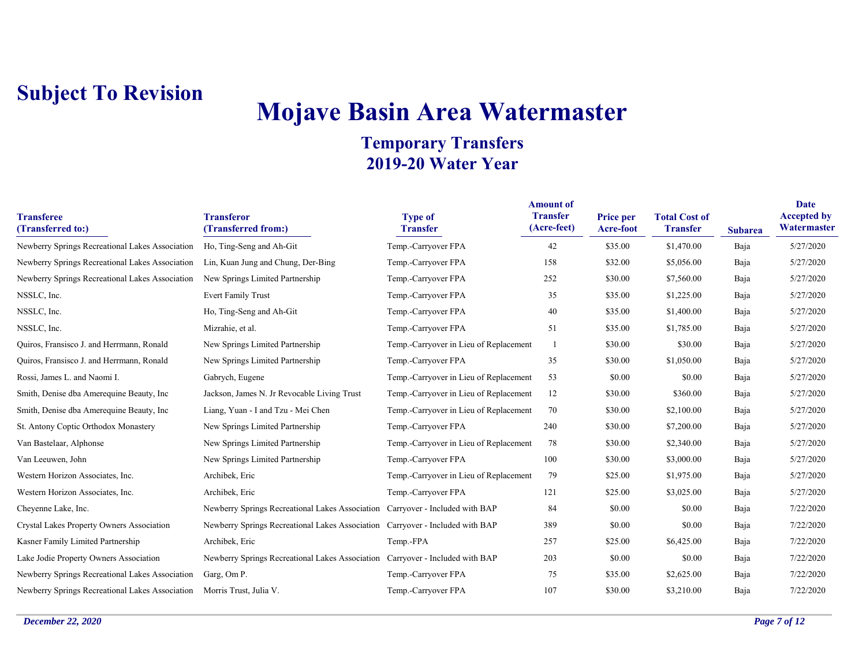# **Mojave Basin Area Watermaster**

| <b>Transferee</b><br>(Transferred to:)                                          | <b>Transferor</b><br>(Transferred from:)                                      | <b>Type of</b><br><b>Transfer</b>      | <b>Amount of</b><br><b>Transfer</b><br>(Acre-feet) | Price per<br><b>Acre-foot</b> | <b>Total Cost of</b><br><b>Transfer</b> | <b>Subarea</b> | Date<br><b>Accepted by</b><br>Watermaster |
|---------------------------------------------------------------------------------|-------------------------------------------------------------------------------|----------------------------------------|----------------------------------------------------|-------------------------------|-----------------------------------------|----------------|-------------------------------------------|
| Newberry Springs Recreational Lakes Association                                 | Ho, Ting-Seng and Ah-Git                                                      | Temp.-Carryover FPA                    | 42                                                 | \$35.00                       | \$1,470.00                              | Baja           | 5/27/2020                                 |
| Newberry Springs Recreational Lakes Association                                 | Lin, Kuan Jung and Chung, Der-Bing                                            | Temp.-Carryover FPA                    | 158                                                | \$32.00                       | \$5,056.00                              | Baja           | 5/27/2020                                 |
| Newberry Springs Recreational Lakes Association New Springs Limited Partnership |                                                                               | Temp.-Carryover FPA                    | 252                                                | \$30.00                       | \$7,560.00                              | Baja           | 5/27/2020                                 |
| NSSLC, Inc.                                                                     | <b>Evert Family Trust</b>                                                     | Temp.-Carryover FPA                    | 35                                                 | \$35.00                       | \$1,225.00                              | Baja           | 5/27/2020                                 |
| NSSLC, Inc.                                                                     | Ho, Ting-Seng and Ah-Git                                                      | Temp.-Carryover FPA                    | 40                                                 | \$35.00                       | \$1,400.00                              | Baja           | 5/27/2020                                 |
| NSSLC, Inc.                                                                     | Mizrahie, et al.                                                              | Temp.-Carryover FPA                    | 51                                                 | \$35.00                       | \$1,785.00                              | Baja           | 5/27/2020                                 |
| Quiros, Fransisco J. and Herrmann, Ronald                                       | New Springs Limited Partnership                                               | Temp.-Carryover in Lieu of Replacement | $\overline{1}$                                     | \$30.00                       | \$30.00                                 | Baja           | 5/27/2020                                 |
| Quiros, Fransisco J. and Herrmann, Ronald                                       | New Springs Limited Partnership                                               | Temp.-Carryover FPA                    | 35                                                 | \$30.00                       | \$1,050.00                              | Baja           | 5/27/2020                                 |
| Rossi, James L. and Naomi I.                                                    | Gabrych, Eugene                                                               | Temp.-Carryover in Lieu of Replacement | 53                                                 | \$0.00                        | \$0.00                                  | Baja           | 5/27/2020                                 |
| Smith, Denise dba Amerequine Beauty, Inc.                                       | Jackson, James N. Jr Revocable Living Trust                                   | Temp.-Carryover in Lieu of Replacement | 12                                                 | \$30.00                       | \$360.00                                | Baja           | 5/27/2020                                 |
| Smith, Denise dba Amerequine Beauty, Inc.                                       | Liang, Yuan - I and Tzu - Mei Chen                                            | Temp.-Carryover in Lieu of Replacement | 70                                                 | \$30.00                       | \$2,100.00                              | Baja           | 5/27/2020                                 |
| St. Antony Coptic Orthodox Monastery                                            | New Springs Limited Partnership                                               | Temp.-Carryover FPA                    | 240                                                | \$30.00                       | \$7,200.00                              | Baja           | 5/27/2020                                 |
| Van Bastelaar, Alphonse                                                         | New Springs Limited Partnership                                               | Temp.-Carryover in Lieu of Replacement | 78                                                 | \$30.00                       | \$2,340.00                              | Baja           | 5/27/2020                                 |
| Van Leeuwen, John                                                               | New Springs Limited Partnership                                               | Temp.-Carryover FPA                    | 100                                                | \$30.00                       | \$3,000.00                              | Baja           | 5/27/2020                                 |
| Western Horizon Associates, Inc.                                                | Archibek, Eric                                                                | Temp.-Carryover in Lieu of Replacement | 79                                                 | \$25.00                       | \$1,975.00                              | Baja           | 5/27/2020                                 |
| Western Horizon Associates, Inc.                                                | Archibek, Eric                                                                | Temp.-Carryover FPA                    | 121                                                | \$25.00                       | \$3,025.00                              | Baja           | 5/27/2020                                 |
| Cheyenne Lake, Inc.                                                             | Newberry Springs Recreational Lakes Association Carryover - Included with BAP |                                        | 84                                                 | \$0.00                        | \$0.00                                  | Baja           | 7/22/2020                                 |
| Crystal Lakes Property Owners Association                                       | Newberry Springs Recreational Lakes Association Carryover - Included with BAP |                                        | 389                                                | \$0.00                        | \$0.00                                  | Baja           | 7/22/2020                                 |
| Kasner Family Limited Partnership                                               | Archibek, Eric                                                                | Temp.-FPA                              | 257                                                | \$25.00                       | \$6,425.00                              | Baja           | 7/22/2020                                 |
| Lake Jodie Property Owners Association                                          | Newberry Springs Recreational Lakes Association Carryover - Included with BAP |                                        | 203                                                | \$0.00                        | \$0.00                                  | Baja           | 7/22/2020                                 |
| Newberry Springs Recreational Lakes Association                                 | Garg, Om P.                                                                   | Temp.-Carryover FPA                    | 75                                                 | \$35.00                       | \$2,625.00                              | Baja           | 7/22/2020                                 |
| Newberry Springs Recreational Lakes Association Morris Trust, Julia V.          |                                                                               | Temp.-Carryover FPA                    | 107                                                | \$30.00                       | \$3,210.00                              | Baia           | 7/22/2020                                 |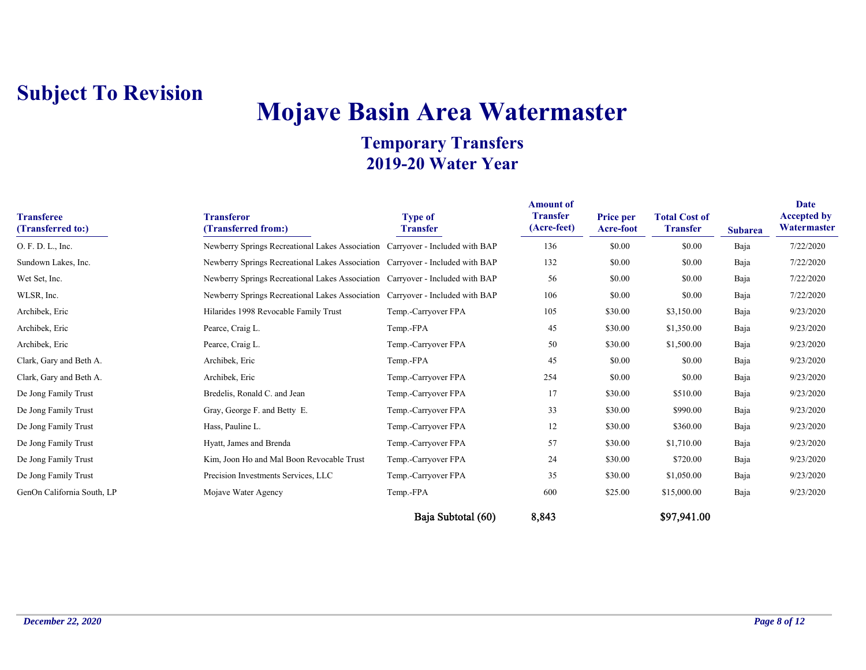# **Mojave Basin Area Watermaster**

#### **Temporary Transfers 2019-20 Water Year**

| <b>Transferee</b><br>(Transferred to:) | <b>Transferor</b><br>(Transferred from:)                                      | <b>Type of</b><br><b>Transfer</b> | <b>Amount of</b><br><b>Transfer</b><br>(Acre-feet) | <b>Price per</b><br>Acre-foot | <b>Total Cost of</b><br><b>Transfer</b> | <b>Subarea</b> | Date<br><b>Accepted by</b><br>Watermaster |
|----------------------------------------|-------------------------------------------------------------------------------|-----------------------------------|----------------------------------------------------|-------------------------------|-----------------------------------------|----------------|-------------------------------------------|
| O. F. D. L., Inc.                      | Newberry Springs Recreational Lakes Association Carryover - Included with BAP |                                   | 136                                                | \$0.00                        | \$0.00                                  | Baja           | 7/22/2020                                 |
| Sundown Lakes, Inc.                    | Newberry Springs Recreational Lakes Association Carryover - Included with BAP |                                   | 132                                                | \$0.00                        | \$0.00                                  | Baja           | 7/22/2020                                 |
| Wet Set, Inc.                          | Newberry Springs Recreational Lakes Association Carryover - Included with BAP |                                   | 56                                                 | \$0.00                        | \$0.00                                  | Baja           | 7/22/2020                                 |
| WLSR, Inc.                             | Newberry Springs Recreational Lakes Association Carryover - Included with BAP |                                   | 106                                                | \$0.00                        | \$0.00                                  | Baja           | 7/22/2020                                 |
| Archibek, Eric                         | Hilarides 1998 Revocable Family Trust                                         | Temp.-Carryover FPA               | 105                                                | \$30.00                       | \$3,150.00                              | Baja           | 9/23/2020                                 |
| Archibek, Eric                         | Pearce, Craig L.                                                              | Temp.-FPA                         | 45                                                 | \$30.00                       | \$1,350.00                              | Baja           | 9/23/2020                                 |
| Archibek, Eric                         | Pearce, Craig L.                                                              | Temp.-Carryover FPA               | 50                                                 | \$30.00                       | \$1,500.00                              | Baja           | 9/23/2020                                 |
| Clark, Gary and Beth A.                | Archibek, Eric                                                                | Temp.-FPA                         | 45                                                 | \$0.00                        | \$0.00                                  | Baja           | 9/23/2020                                 |
| Clark, Gary and Beth A.                | Archibek, Eric                                                                | Temp.-Carryover FPA               | 254                                                | \$0.00                        | \$0.00                                  | Baja           | 9/23/2020                                 |
| De Jong Family Trust                   | Bredelis, Ronald C. and Jean                                                  | Temp.-Carryover FPA               | 17                                                 | \$30.00                       | \$510.00                                | Baja           | 9/23/2020                                 |
| De Jong Family Trust                   | Gray, George F. and Betty E.                                                  | Temp.-Carryover FPA               | 33                                                 | \$30.00                       | \$990.00                                | Baja           | 9/23/2020                                 |
| De Jong Family Trust                   | Hass, Pauline L.                                                              | Temp.-Carryover FPA               | 12                                                 | \$30.00                       | \$360.00                                | Baja           | 9/23/2020                                 |
| De Jong Family Trust                   | Hyatt, James and Brenda                                                       | Temp.-Carryover FPA               | 57                                                 | \$30.00                       | \$1,710.00                              | Baja           | 9/23/2020                                 |
| De Jong Family Trust                   | Kim, Joon Ho and Mal Boon Revocable Trust                                     | Temp.-Carryover FPA               | 24                                                 | \$30.00                       | \$720.00                                | Baja           | 9/23/2020                                 |
| De Jong Family Trust                   | Precision Investments Services, LLC                                           | Temp.-Carryover FPA               | 35                                                 | \$30.00                       | \$1,050.00                              | Baja           | 9/23/2020                                 |
| GenOn California South, LP             | Mojave Water Agency                                                           | Temp.-FPA                         | 600                                                | \$25.00                       | \$15,000.00                             | Baja           | 9/23/2020                                 |

Baja Subtotal (60) 8,843 \$97,941.00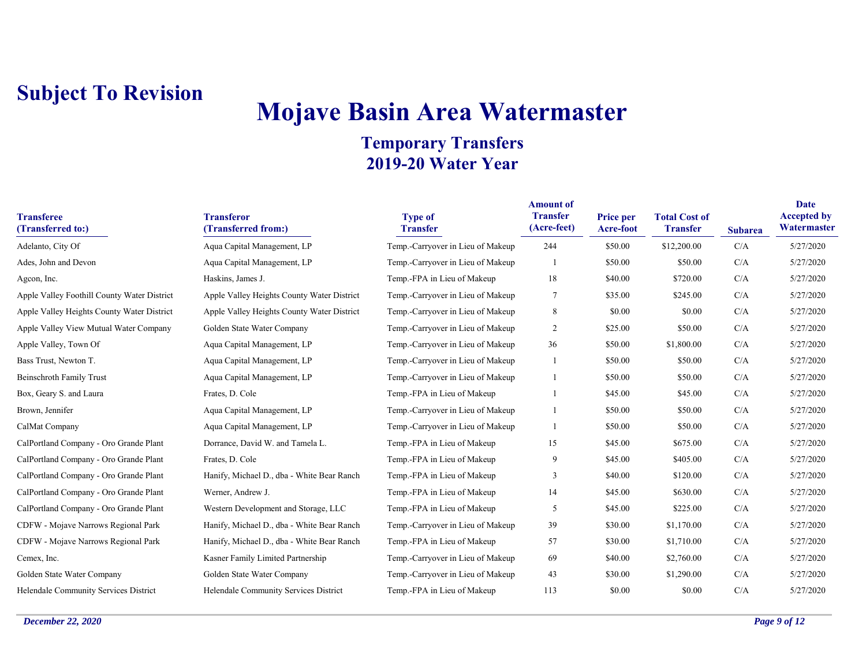# **Mojave Basin Area Watermaster**

| <b>Transferee</b><br>(Transferred to:)      | <b>Transferor</b><br>(Transferred from:)   | <b>Type of</b><br><b>Transfer</b> | <b>Amount of</b><br><b>Transfer</b><br>(Acre-feet) | <b>Price per</b><br><b>Acre-foot</b> | <b>Total Cost of</b><br><b>Transfer</b> | <b>Subarea</b> | Date<br><b>Accepted by</b><br>Watermaster |
|---------------------------------------------|--------------------------------------------|-----------------------------------|----------------------------------------------------|--------------------------------------|-----------------------------------------|----------------|-------------------------------------------|
| Adelanto, City Of                           | Aqua Capital Management, LP                | Temp.-Carryover in Lieu of Makeup | 244                                                | \$50.00                              | \$12,200.00                             | C/A            | 5/27/2020                                 |
| Ades, John and Devon                        | Aqua Capital Management, LP                | Temp.-Carryover in Lieu of Makeup |                                                    | \$50.00                              | \$50.00                                 | C/A            | 5/27/2020                                 |
| Agcon, Inc.                                 | Haskins, James J.                          | Temp.-FPA in Lieu of Makeup       | 18                                                 | \$40.00                              | \$720.00                                | C/A            | 5/27/2020                                 |
| Apple Valley Foothill County Water District | Apple Valley Heights County Water District | Temp.-Carryover in Lieu of Makeup | $\tau$                                             | \$35.00                              | \$245.00                                | C/A            | 5/27/2020                                 |
| Apple Valley Heights County Water District  | Apple Valley Heights County Water District | Temp.-Carryover in Lieu of Makeup | 8                                                  | \$0.00                               | \$0.00                                  | C/A            | 5/27/2020                                 |
| Apple Valley View Mutual Water Company      | Golden State Water Company                 | Temp.-Carryover in Lieu of Makeup | $\overline{2}$                                     | \$25.00                              | \$50.00                                 | C/A            | 5/27/2020                                 |
| Apple Valley, Town Of                       | Aqua Capital Management, LP                | Temp.-Carryover in Lieu of Makeup | 36                                                 | \$50.00                              | \$1,800.00                              | C/A            | 5/27/2020                                 |
| Bass Trust, Newton T.                       | Aqua Capital Management, LP                | Temp.-Carryover in Lieu of Makeup | -1                                                 | \$50.00                              | \$50.00                                 | C/A            | 5/27/2020                                 |
| <b>Beinschroth Family Trust</b>             | Aqua Capital Management, LP                | Temp.-Carryover in Lieu of Makeup |                                                    | \$50.00                              | \$50.00                                 | C/A            | 5/27/2020                                 |
| Box, Geary S. and Laura                     | Frates, D. Cole                            | Temp.-FPA in Lieu of Makeup       |                                                    | \$45.00                              | \$45.00                                 | C/A            | 5/27/2020                                 |
| Brown, Jennifer                             | Aqua Capital Management, LP                | Temp.-Carryover in Lieu of Makeup |                                                    | \$50.00                              | \$50.00                                 | C/A            | 5/27/2020                                 |
| CalMat Company                              | Aqua Capital Management, LP                | Temp.-Carryover in Lieu of Makeup | -1                                                 | \$50.00                              | \$50.00                                 | C/A            | 5/27/2020                                 |
| CalPortland Company - Oro Grande Plant      | Dorrance, David W. and Tamela L.           | Temp.-FPA in Lieu of Makeup       | 15                                                 | \$45.00                              | \$675.00                                | C/A            | 5/27/2020                                 |
| CalPortland Company - Oro Grande Plant      | Frates, D. Cole                            | Temp.-FPA in Lieu of Makeup       | 9                                                  | \$45.00                              | \$405.00                                | C/A            | 5/27/2020                                 |
| CalPortland Company - Oro Grande Plant      | Hanify, Michael D., dba - White Bear Ranch | Temp.-FPA in Lieu of Makeup       | 3                                                  | \$40.00                              | \$120.00                                | C/A            | 5/27/2020                                 |
| CalPortland Company - Oro Grande Plant      | Werner, Andrew J.                          | Temp.-FPA in Lieu of Makeup       | 14                                                 | \$45.00                              | \$630.00                                | C/A            | 5/27/2020                                 |
| CalPortland Company - Oro Grande Plant      | Western Development and Storage, LLC       | Temp.-FPA in Lieu of Makeup       | 5                                                  | \$45.00                              | \$225.00                                | C/A            | 5/27/2020                                 |
| CDFW - Mojave Narrows Regional Park         | Hanify, Michael D., dba - White Bear Ranch | Temp.-Carryover in Lieu of Makeup | 39                                                 | \$30.00                              | \$1,170.00                              | C/A            | 5/27/2020                                 |
| CDFW - Mojave Narrows Regional Park         | Hanify, Michael D., dba - White Bear Ranch | Temp.-FPA in Lieu of Makeup       | 57                                                 | \$30.00                              | \$1,710.00                              | C/A            | 5/27/2020                                 |
| Cemex, Inc.                                 | Kasner Family Limited Partnership          | Temp.-Carryover in Lieu of Makeup | 69                                                 | \$40.00                              | \$2,760.00                              | C/A            | 5/27/2020                                 |
| Golden State Water Company                  | Golden State Water Company                 | Temp.-Carryover in Lieu of Makeup | 43                                                 | \$30.00                              | \$1,290.00                              | C/A            | 5/27/2020                                 |
| Helendale Community Services District       | Helendale Community Services District      | Temp.-FPA in Lieu of Makeup       | 113                                                | \$0.00                               | \$0.00                                  | C/A            | 5/27/2020                                 |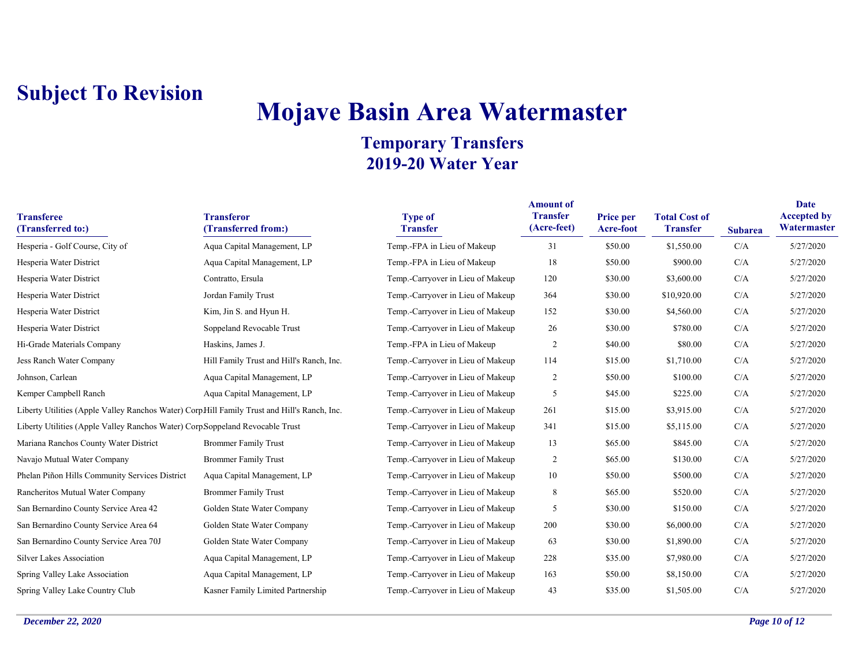# **Mojave Basin Area Watermaster**

| <b>Transferee</b><br>(Transferred to:)                                                      | <b>Transferor</b><br>(Transferred from:) | <b>Type of</b><br><b>Transfer</b> | <b>Amount of</b><br><b>Transfer</b><br>(Acre-feet) | Price per<br>Acre-foot | <b>Total Cost of</b><br><b>Transfer</b> | <b>Subarea</b> | Date<br><b>Accepted by</b><br>Watermaster |
|---------------------------------------------------------------------------------------------|------------------------------------------|-----------------------------------|----------------------------------------------------|------------------------|-----------------------------------------|----------------|-------------------------------------------|
| Hesperia - Golf Course, City of                                                             | Aqua Capital Management, LP              | Temp.-FPA in Lieu of Makeup       | 31                                                 | \$50.00                | \$1,550.00                              | C/A            | 5/27/2020                                 |
| Hesperia Water District                                                                     | Aqua Capital Management, LP              | Temp.-FPA in Lieu of Makeup       | 18                                                 | \$50.00                | \$900.00                                | C/A            | 5/27/2020                                 |
| Hesperia Water District                                                                     | Contratto, Ersula                        | Temp.-Carryover in Lieu of Makeup | 120                                                | \$30.00                | \$3,600.00                              | C/A            | 5/27/2020                                 |
| Hesperia Water District                                                                     | Jordan Family Trust                      | Temp.-Carryover in Lieu of Makeup | 364                                                | \$30.00                | \$10,920.00                             | C/A            | 5/27/2020                                 |
| Hesperia Water District                                                                     | Kim, Jin S. and Hyun H.                  | Temp.-Carryover in Lieu of Makeup | 152                                                | \$30.00                | \$4,560.00                              | C/A            | 5/27/2020                                 |
| Hesperia Water District                                                                     | Soppeland Revocable Trust                | Temp.-Carryover in Lieu of Makeup | 26                                                 | \$30.00                | \$780.00                                | C/A            | 5/27/2020                                 |
| Hi-Grade Materials Company                                                                  | Haskins, James J.                        | Temp.-FPA in Lieu of Makeup       | $\overline{2}$                                     | \$40.00                | \$80.00                                 | C/A            | 5/27/2020                                 |
| Jess Ranch Water Company                                                                    | Hill Family Trust and Hill's Ranch, Inc. | Temp.-Carryover in Lieu of Makeup | 114                                                | \$15.00                | \$1,710.00                              | C/A            | 5/27/2020                                 |
| Johnson, Carlean                                                                            | Aqua Capital Management, LP              | Temp.-Carryover in Lieu of Makeup | $\overline{c}$                                     | \$50.00                | \$100.00                                | C/A            | 5/27/2020                                 |
| Kemper Campbell Ranch                                                                       | Aqua Capital Management, LP              | Temp.-Carryover in Lieu of Makeup | 5                                                  | \$45.00                | \$225.00                                | C/A            | 5/27/2020                                 |
| Liberty Utilities (Apple Valley Ranchos Water) CorpHill Family Trust and Hill's Ranch, Inc. |                                          | Temp.-Carryover in Lieu of Makeup | 261                                                | \$15.00                | \$3,915.00                              | C/A            | 5/27/2020                                 |
| Liberty Utilities (Apple Valley Ranchos Water) Corp Soppeland Revocable Trust               |                                          | Temp.-Carryover in Lieu of Makeup | 341                                                | \$15.00                | \$5,115.00                              | C/A            | 5/27/2020                                 |
| Mariana Ranchos County Water District                                                       | <b>Brommer Family Trust</b>              | Temp.-Carryover in Lieu of Makeup | 13                                                 | \$65.00                | \$845.00                                | C/A            | 5/27/2020                                 |
| Navajo Mutual Water Company                                                                 | <b>Brommer Family Trust</b>              | Temp.-Carryover in Lieu of Makeup | $\overline{c}$                                     | \$65.00                | \$130.00                                | C/A            | 5/27/2020                                 |
| Phelan Piñon Hills Community Services District                                              | Aqua Capital Management, LP              | Temp.-Carryover in Lieu of Makeup | 10                                                 | \$50.00                | \$500.00                                | C/A            | 5/27/2020                                 |
| Rancheritos Mutual Water Company                                                            | <b>Brommer Family Trust</b>              | Temp.-Carryover in Lieu of Makeup | 8                                                  | \$65.00                | \$520.00                                | C/A            | 5/27/2020                                 |
| San Bernardino County Service Area 42                                                       | Golden State Water Company               | Temp.-Carryover in Lieu of Makeup | 5                                                  | \$30.00                | \$150.00                                | C/A            | 5/27/2020                                 |
| San Bernardino County Service Area 64                                                       | Golden State Water Company               | Temp.-Carryover in Lieu of Makeup | 200                                                | \$30.00                | \$6,000.00                              | C/A            | 5/27/2020                                 |
| San Bernardino County Service Area 70J                                                      | Golden State Water Company               | Temp.-Carryover in Lieu of Makeup | 63                                                 | \$30.00                | \$1,890.00                              | C/A            | 5/27/2020                                 |
| <b>Silver Lakes Association</b>                                                             | Aqua Capital Management, LP              | Temp.-Carryover in Lieu of Makeup | 228                                                | \$35.00                | \$7,980.00                              | C/A            | 5/27/2020                                 |
| Spring Valley Lake Association                                                              | Aqua Capital Management, LP              | Temp.-Carryover in Lieu of Makeup | 163                                                | \$50.00                | \$8,150.00                              | C/A            | 5/27/2020                                 |
| Spring Valley Lake Country Club                                                             | Kasner Family Limited Partnership        | Temp.-Carryover in Lieu of Makeup | 43                                                 | \$35.00                | \$1,505.00                              | C/A            | 5/27/2020                                 |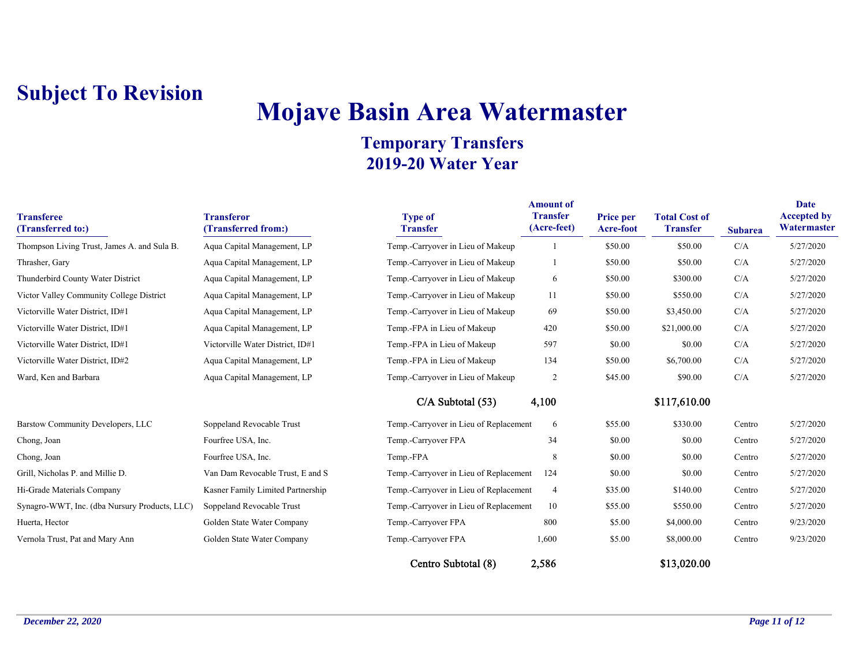## **Mojave Basin Area Watermaster**

| <b>Transferee</b><br>(Transferred to:)        | <b>Transferor</b><br>(Transferred from:) | <b>Type of</b><br><b>Transfer</b>      | <b>Amount of</b><br><b>Transfer</b><br>(Acre-feet) | Price per<br>Acre-foot | <b>Total Cost of</b><br><b>Transfer</b> | <b>Subarea</b> | Date<br><b>Accepted by</b><br>Watermaster |
|-----------------------------------------------|------------------------------------------|----------------------------------------|----------------------------------------------------|------------------------|-----------------------------------------|----------------|-------------------------------------------|
| Thompson Living Trust, James A. and Sula B.   | Aqua Capital Management, LP              | Temp.-Carryover in Lieu of Makeup      |                                                    | \$50.00                | \$50.00                                 | C/A            | 5/27/2020                                 |
| Thrasher, Gary                                | Aqua Capital Management, LP              | Temp.-Carryover in Lieu of Makeup      |                                                    | \$50.00                | \$50.00                                 | C/A            | 5/27/2020                                 |
| Thunderbird County Water District             | Aqua Capital Management, LP              | Temp.-Carryover in Lieu of Makeup      | 6                                                  | \$50.00                | \$300.00                                | C/A            | 5/27/2020                                 |
| Victor Valley Community College District      | Aqua Capital Management, LP              | Temp.-Carryover in Lieu of Makeup      | 11                                                 | \$50.00                | \$550.00                                | C/A            | 5/27/2020                                 |
| Victorville Water District, ID#1              | Aqua Capital Management, LP              | Temp.-Carryover in Lieu of Makeup      | 69                                                 | \$50.00                | \$3,450.00                              | C/A            | 5/27/2020                                 |
| Victorville Water District, ID#1              | Aqua Capital Management, LP              | Temp.-FPA in Lieu of Makeup            | 420                                                | \$50.00                | \$21,000.00                             | C/A            | 5/27/2020                                 |
| Victorville Water District, ID#1              | Victorville Water District, ID#1         | Temp.-FPA in Lieu of Makeup            | 597                                                | \$0.00                 | \$0.00                                  | C/A            | 5/27/2020                                 |
| Victorville Water District, ID#2              | Aqua Capital Management, LP              | Temp.-FPA in Lieu of Makeup            | 134                                                | \$50.00                | \$6,700.00                              | C/A            | 5/27/2020                                 |
| Ward, Ken and Barbara                         | Aqua Capital Management, LP              | Temp.-Carryover in Lieu of Makeup      | $\overline{2}$                                     | \$45.00                | \$90.00                                 | C/A            | 5/27/2020                                 |
|                                               |                                          | $C/A$ Subtotal $(53)$                  | 4,100                                              |                        | \$117,610.00                            |                |                                           |
| Barstow Community Developers, LLC             | Soppeland Revocable Trust                | Temp.-Carryover in Lieu of Replacement | 6                                                  | \$55.00                | \$330.00                                | Centro         | 5/27/2020                                 |
| Chong, Joan                                   | Fourfree USA, Inc.                       | Temp.-Carryover FPA                    | 34                                                 | \$0.00                 | \$0.00                                  | Centro         | 5/27/2020                                 |
| Chong, Joan                                   | Fourfree USA, Inc.                       | Temp.-FPA                              | 8                                                  | \$0.00                 | \$0.00                                  | Centro         | 5/27/2020                                 |
| Grill, Nicholas P. and Millie D.              | Van Dam Revocable Trust, E and S         | Temp.-Carryover in Lieu of Replacement | 124                                                | \$0.00                 | \$0.00                                  | Centro         | 5/27/2020                                 |
| Hi-Grade Materials Company                    | Kasner Family Limited Partnership        | Temp.-Carryover in Lieu of Replacement | $\overline{4}$                                     | \$35.00                | \$140.00                                | Centro         | 5/27/2020                                 |
| Synagro-WWT, Inc. (dba Nursury Products, LLC) | Soppeland Revocable Trust                | Temp.-Carryover in Lieu of Replacement | 10                                                 | \$55.00                | \$550.00                                | Centro         | 5/27/2020                                 |
| Huerta, Hector                                | Golden State Water Company               | Temp.-Carryover FPA                    | 800                                                | \$5.00                 | \$4,000.00                              | Centro         | 9/23/2020                                 |
| Vernola Trust, Pat and Mary Ann               | Golden State Water Company               | Temp.-Carryover FPA                    | 1,600                                              | \$5.00                 | \$8,000.00                              | Centro         | 9/23/2020                                 |
|                                               |                                          | Centro Subtotal (8)                    | 2,586                                              |                        | \$13,020.00                             |                |                                           |